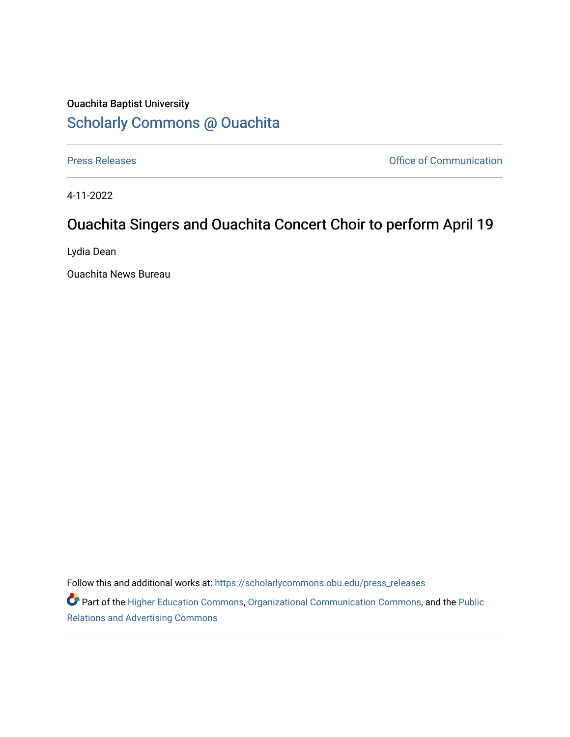## Ouachita Baptist University [Scholarly Commons @ Ouachita](https://scholarlycommons.obu.edu/)

[Press Releases](https://scholarlycommons.obu.edu/press_releases) **Press Releases Communication** 

4-11-2022

## Ouachita Singers and Ouachita Concert Choir to perform April 19

Lydia Dean

Ouachita News Bureau

Follow this and additional works at: [https://scholarlycommons.obu.edu/press\\_releases](https://scholarlycommons.obu.edu/press_releases?utm_source=scholarlycommons.obu.edu%2Fpress_releases%2F1081&utm_medium=PDF&utm_campaign=PDFCoverPages)

Part of the [Higher Education Commons,](http://network.bepress.com/hgg/discipline/1245?utm_source=scholarlycommons.obu.edu%2Fpress_releases%2F1081&utm_medium=PDF&utm_campaign=PDFCoverPages) [Organizational Communication Commons,](http://network.bepress.com/hgg/discipline/335?utm_source=scholarlycommons.obu.edu%2Fpress_releases%2F1081&utm_medium=PDF&utm_campaign=PDFCoverPages) and the [Public](http://network.bepress.com/hgg/discipline/336?utm_source=scholarlycommons.obu.edu%2Fpress_releases%2F1081&utm_medium=PDF&utm_campaign=PDFCoverPages) [Relations and Advertising Commons](http://network.bepress.com/hgg/discipline/336?utm_source=scholarlycommons.obu.edu%2Fpress_releases%2F1081&utm_medium=PDF&utm_campaign=PDFCoverPages)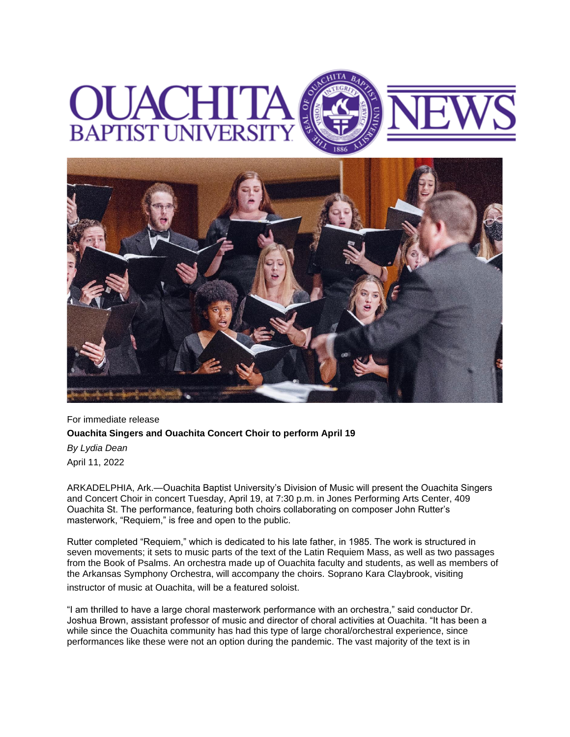## **BAPTIST UNIVERS**



For immediate release **Ouachita Singers and Ouachita Concert Choir to perform April 19** *By Lydia Dean* April 11, 2022

ARKADELPHIA, Ark.—Ouachita Baptist University's Division of Music will present the Ouachita Singers and Concert Choir in concert Tuesday, April 19, at 7:30 p.m. in Jones Performing Arts Center, 409 Ouachita St. The performance, featuring both choirs collaborating on composer John Rutter's masterwork, "Requiem," is free and open to the public.

Rutter completed "Requiem," which is dedicated to his late father, in 1985. The work is structured in seven movements; it sets to music parts of the text of the Latin Requiem Mass, as well as two passages from the Book of Psalms. An orchestra made up of Ouachita faculty and students, as well as members of the Arkansas Symphony Orchestra, will accompany the choirs. Soprano Kara Claybrook, visiting instructor of music at Ouachita, will be a featured soloist.

"I am thrilled to have a large choral masterwork performance with an orchestra," said conductor Dr. Joshua Brown, assistant professor of music and director of choral activities at Ouachita. "It has been a while since the Ouachita community has had this type of large choral/orchestral experience, since performances like these were not an option during the pandemic. The vast majority of the text is in